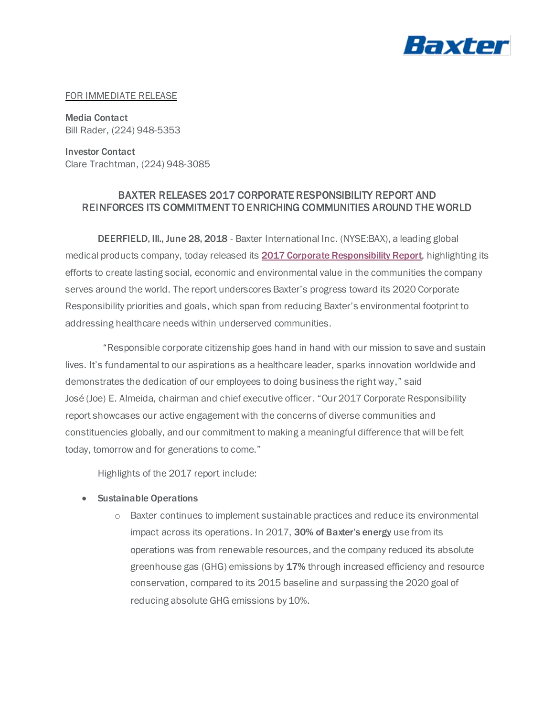

#### FOR IMMEDIATE RELEASE

Media Contact Bill Rader, (224) 948-5353

Investor Contact Clare Trachtman, (224) 948-3085

# BAXTER RELEASES 2017 CORPORATE RESPONSIBILITY REPORT AND REINFORCES ITS COMMITMENT TO ENRICHING COMMUNITIES AROUND THE WORLD

DEERFIELD, III., June 28, 2018 - Baxter International Inc. (NYSE:BAX), a leading global medical products company, today released its [2017 Corporate Responsibility Report](https://www.baxter.com/our-story/corporate-responsibility/corporate-responsibility-report-0), highlighting its efforts to create lasting social, economic and environmental value in the communities the company serves around the world. The report underscores Baxter's progress toward its 2020 Corporate Responsibility priorities and goals, which span from reducing Baxter's environmental footprint to addressing healthcare needs within underserved communities.

 "Responsible corporate citizenship goes hand in hand with our mission to save and sustain lives. It's fundamental to our aspirations as a healthcare leader, sparks innovation worldwide and demonstrates the dedication of our employees to doing business the right way," said José (Joe) E. Almeida, chairman and chief executive officer. "Our 2017 Corporate Responsibility report showcases our active engagement with the concerns of diverse communities and constituencies globally, and our commitment to making a meaningful difference that will be felt today, tomorrow and for generations to come."

Highlights of the 2017 report include:

- Sustainable Operations
	- o Baxter continues to implement sustainable practices and reduce its environmental impact across its operations. In 2017, 30% of Baxter's energy use from its operations was from renewable resources, and the company reduced its absolute greenhouse gas (GHG) emissions by 17% through increased efficiency and resource conservation, compared to its 2015 baseline and surpassing the 2020 goal of reducing absolute GHG emissions by 10%.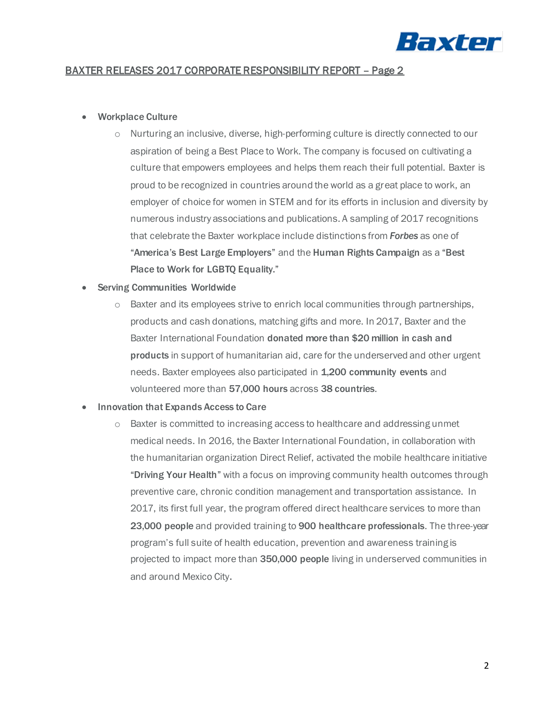

## BAXTER RELEASES 2017 CORPORATE RESPONSIBILITY REPORT – Page 2

### • Workplace Culture

o Nurturing an inclusive, diverse, high-performing culture is directly connected to our aspiration of being a Best Place to Work. The company is focused on cultivating a culture that empowers employees and helps them reach their full potential. Baxter is proud to be recognized in countries around the world as a great place to work, an employer of choice for women in STEM and for its efforts in inclusion and diversity by numerous industry associations and publications. A sampling of 2017 recognitions that celebrate the Baxter workplace include distinctions from *Forbes* as one of "America's Best Large Employers" and the Human Rights Campaign as a "Best Place to Work for LGBTQ Equality."

## • Serving Communities Worldwide

o Baxter and its employees strive to enrich local communities through partnerships, products and cash donations, matching gifts and more. In 2017, Baxter and the Baxter International Foundation donated more than \$20 million in cash and products in support of humanitarian aid, care for the underserved and other urgent needs. Baxter employees also participated in 1,200 community events and volunteered more than 57,000 hours across 38 countries.

### • Innovation that Expands Access to Care

o Baxter is committed to increasing access to healthcare and addressing unmet medical needs. In 2016, the Baxter International Foundation, in collaboration with the humanitarian organization Direct Relief, activated the mobile healthcare initiative "Driving Your Health" with a focus on improving community health outcomes through preventive care, chronic condition management and transportation assistance. In 2017, its first full year, the program offered direct healthcare services to more than 23,000 people and provided training to 900 healthcare professionals. The three-year program's full suite of health education, prevention and awareness training is projected to impact more than 350,000 people living in underserved communities in and around Mexico City.